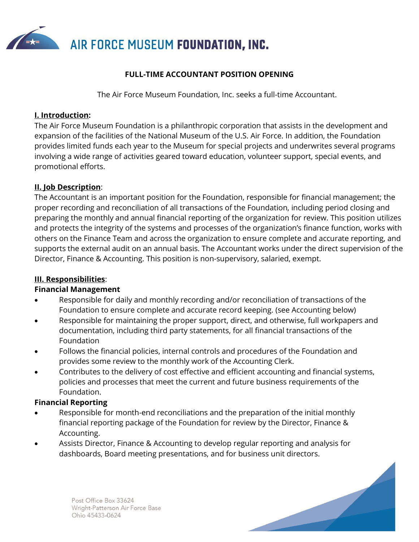

## **FULL-TIME ACCOUNTANT POSITION OPENING**

The Air Force Museum Foundation, Inc. seeks a full-time Accountant.

### **I. Introduction:**

The Air Force Museum Foundation is a philanthropic corporation that assists in the development and expansion of the facilities of the National Museum of the U.S. Air Force. In addition, the Foundation provides limited funds each year to the Museum for special projects and underwrites several programs involving a wide range of activities geared toward education, volunteer support, special events, and promotional efforts.

## **II. Job Description**:

The Accountant is an important position for the Foundation, responsible for financial management; the proper recording and reconciliation of all transactions of the Foundation, including period closing and preparing the monthly and annual financial reporting of the organization for review. This position utilizes and protects the integrity of the systems and processes of the organization's finance function, works with others on the Finance Team and across the organization to ensure complete and accurate reporting, and supports the external audit on an annual basis. The Accountant works under the direct supervision of the Director, Finance & Accounting. This position is non-supervisory, salaried, exempt.

## **III. Responsibilities**:

## **Financial Management**

- Responsible for daily and monthly recording and/or reconciliation of transactions of the Foundation to ensure complete and accurate record keeping. (see Accounting below)
- Responsible for maintaining the proper support, direct, and otherwise, full workpapers and documentation, including third party statements, for all financial transactions of the Foundation
- Follows the financial policies, internal controls and procedures of the Foundation and provides some review to the monthly work of the Accounting Clerk.
- Contributes to the delivery of cost effective and efficient accounting and financial systems, policies and processes that meet the current and future business requirements of the Foundation.

## **Financial Reporting**

- Responsible for month-end reconciliations and the preparation of the initial monthly financial reporting package of the Foundation for review by the Director, Finance & Accounting.
- Assists Director, Finance & Accounting to develop regular reporting and analysis for dashboards, Board meeting presentations, and for business unit directors.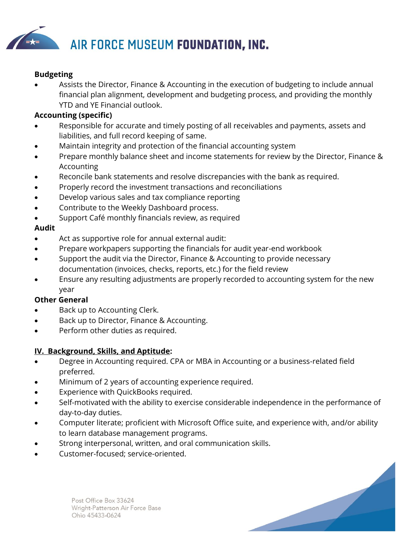

### **Budgeting**

• Assists the Director, Finance & Accounting in the execution of budgeting to include annual financial plan alignment, development and budgeting process, and providing the monthly YTD and YE Financial outlook.

## **Accounting (specific)**

- Responsible for accurate and timely posting of all receivables and payments, assets and liabilities, and full record keeping of same.
- Maintain integrity and protection of the financial accounting system
- Prepare monthly balance sheet and income statements for review by the Director, Finance & Accounting
- Reconcile bank statements and resolve discrepancies with the bank as required.
- Properly record the investment transactions and reconciliations
- Develop various sales and tax compliance reporting
- Contribute to the Weekly Dashboard process.
- Support Café monthly financials review, as required

### **Audit**

- Act as supportive role for annual external audit:
- Prepare workpapers supporting the financials for audit year-end workbook
- Support the audit via the Director, Finance & Accounting to provide necessary documentation (invoices, checks, reports, etc.) for the field review
- Ensure any resulting adjustments are properly recorded to accounting system for the new year

#### **Other General**

- Back up to Accounting Clerk.
- Back up to Director, Finance & Accounting.
- Perform other duties as required.

#### **IV. Background, Skills, and Aptitude:**

- Degree in Accounting required. CPA or MBA in Accounting or a business-related field preferred.
- Minimum of 2 years of accounting experience required.
- Experience with QuickBooks required.
- Self-motivated with the ability to exercise considerable independence in the performance of day-to-day duties.
- Computer literate; proficient with Microsoft Office suite, and experience with, and/or ability to learn database management programs.
- Strong interpersonal, written, and oral communication skills.
- Customer-focused; service-oriented.



Post Office Box 33624 Wright-Patterson Air Force Base Ohio 45433-0624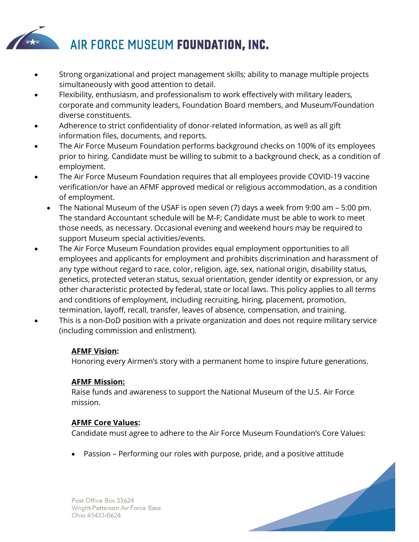

- Strong organizational and project management skills; ability to manage multiple projects simultaneously with good attention to detail.
- Flexibility, enthusiasm, and professionalism to work effectively with military leaders, corporate and community leaders, Foundation Board members, and Museum/Foundation diverse constituents.
- Adherence to strict confidentiality of donor-related information, as well as all gift information files, documents, and reports.
- The Air Force Museum Foundation performs background checks on 100% of its employees prior to hiring. Candidate must be willing to submit to a background check, as a condition of employment.
- The Air Force Museum Foundation requires that all employees provide COVID-19 vaccine verification/or have an AFMF approved medical or religious accommodation, as a condition of employment.
	- The National Museum of the USAF is open seven (7) days a week from 9:00 am 5:00 pm. The standard Accountant schedule will be M-F; Candidate must be able to work to meet those needs, as necessary. Occasional evening and weekend hours may be required to support Museum special activities/events.
- The Air Force Museum Foundation provides equal employment opportunities to all employees and applicants for employment and prohibits discrimination and harassment of any type without regard to race, color, religion, age, sex, national origin, disability status, genetics, protected veteran status, sexual orientation, gender identity or expression, or any other characteristic protected by federal, state or local laws. This policy applies to all terms and conditions of employment, including recruiting, hiring, placement, promotion, termination, layoff, recall, transfer, leaves of absence, compensation, and training.
- This is a non-DoD position with a private organization and does not require military service (including commission and enlistment).

# **AFMF Vision:**

Honoring every Airmen's story with a permanent home to inspire future generations.

# **AFMF Mission:**

Raise funds and awareness to support the National Museum of the U.S. Air Force mission.

# **AFMF Core Values:**

Candidate must agree to adhere to the Air Force Museum Foundation's Core Values:

• Passion – Performing our roles with purpose, pride, and a positive attitude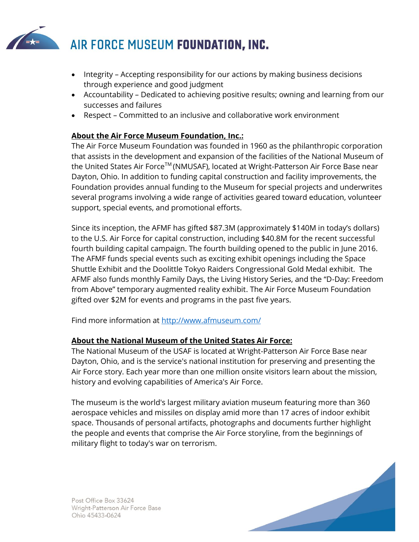

- Integrity Accepting responsibility for our actions by making business decisions through experience and good judgment
- Accountability Dedicated to achieving positive results; owning and learning from our successes and failures
- Respect Committed to an inclusive and collaborative work environment

# **About the Air Force Museum Foundation, Inc.:**

The Air Force Museum Foundation was founded in 1960 as the philanthropic corporation that assists in the development and expansion of the facilities of the National Museum of the United States Air Force™ (NMUSAF), located at Wright-Patterson Air Force Base near Dayton, Ohio. In addition to funding capital construction and facility improvements, the Foundation provides annual funding to the Museum for special projects and underwrites several programs involving a wide range of activities geared toward education, volunteer support, special events, and promotional efforts.

Since its inception, the AFMF has gifted \$87.3M (approximately \$140M in today's dollars) to the U.S. Air Force for capital construction, including \$40.8M for the recent successful fourth building capital campaign. The fourth building opened to the public in June 2016. The AFMF funds special events such as exciting exhibit openings including the Space Shuttle Exhibit and the Doolittle Tokyo Raiders Congressional Gold Medal exhibit. The AFMF also funds monthly Family Days, the Living History Series, and the "D-Day: Freedom from Above" temporary augmented reality exhibit. The Air Force Museum Foundation gifted over \$2M for events and programs in the past five years.

Find more information at<http://www.afmuseum.com/>

# **About the National Museum of the United States Air Force:**

The National Museum of the USAF is located at Wright-Patterson Air Force Base near Dayton, Ohio, and is the service's national institution for preserving and presenting the Air Force story. Each year more than one million onsite visitors learn about the mission, history and evolving capabilities of America's Air Force.

The museum is the world's largest military aviation museum featuring more than 360 aerospace vehicles and missiles on display amid more than 17 acres of indoor exhibit space. Thousands of personal artifacts, photographs and documents further highlight the people and events that comprise the Air Force storyline, from the beginnings of military flight to today's war on terrorism.